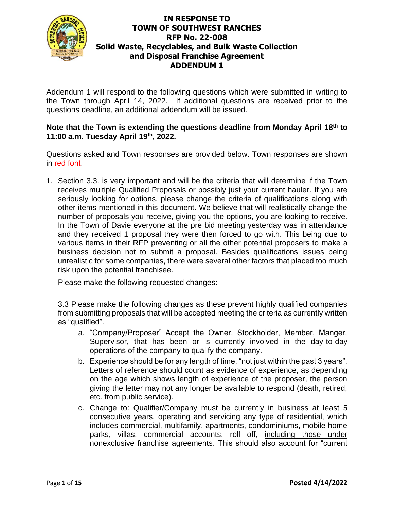

Addendum 1 will respond to the following questions which were submitted in writing to the Town through April 14, 2022. If additional questions are received prior to the questions deadline, an additional addendum will be issued.

#### **Note that the Town is extending the questions deadline from Monday April 18th to 11:00 a.m. Tuesday April 19th, 2022.**

Questions asked and Town responses are provided below. Town responses are shown in red font.

1. Section 3.3. is very important and will be the criteria that will determine if the Town receives multiple Qualified Proposals or possibly just your current hauler. If you are seriously looking for options, please change the criteria of qualifications along with other items mentioned in this document. We believe that will realistically change the number of proposals you receive, giving you the options, you are looking to receive. In the Town of Davie everyone at the pre bid meeting yesterday was in attendance and they received 1 proposal they were then forced to go with. This being due to various items in their RFP preventing or all the other potential proposers to make a business decision not to submit a proposal. Besides qualifications issues being unrealistic for some companies, there were several other factors that placed too much risk upon the potential franchisee.

Please make the following requested changes:

3.3 Please make the following changes as these prevent highly qualified companies from submitting proposals that will be accepted meeting the criteria as currently written as "qualified".

- a. "Company/Proposer" Accept the Owner, Stockholder, Member, Manger, Supervisor, that has been or is currently involved in the day-to-day operations of the company to qualify the company.
- b. Experience should be for any length of time, "not just within the past 3 years". Letters of reference should count as evidence of experience, as depending on the age which shows length of experience of the proposer, the person giving the letter may not any longer be available to respond (death, retired, etc. from public service).
- c. Change to: Qualifier/Company must be currently in business at least 5 consecutive years, operating and servicing any type of residential, which includes commercial, multifamily, apartments, condominiums, mobile home parks, villas, commercial accounts, roll off, including those under nonexclusive franchise agreements. This should also account for "current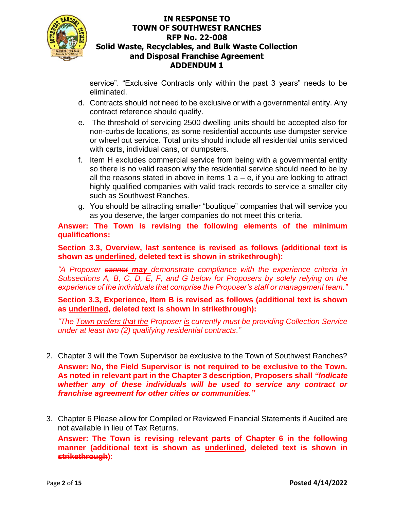

service". "Exclusive Contracts only within the past 3 years" needs to be eliminated.

- d. Contracts should not need to be exclusive or with a governmental entity. Any contract reference should qualify.
- e. The threshold of servicing 2500 dwelling units should be accepted also for non-curbside locations, as some residential accounts use dumpster service or wheel out service. Total units should include all residential units serviced with carts, individual cans, or dumpsters.
- f. Item H excludes commercial service from being with a governmental entity so there is no valid reason why the residential service should need to be by all the reasons stated in above in items  $1 a - e$ , if you are looking to attract highly qualified companies with valid track records to service a smaller city such as Southwest Ranches.
- g. You should be attracting smaller "boutique" companies that will service you as you deserve, the larger companies do not meet this criteria.

**Answer: The Town is revising the following elements of the minimum qualifications:** 

**Section 3.3, Overview, last sentence is revised as follows (additional text is shown as underlined, deleted text is shown in strikethrough):**

*"A Proposer cannot may demonstrate compliance with the experience criteria in Subsections A, B, C, D, E, F, and G below for Proposers by solely-relying on the experience of the individuals that comprise the Proposer's staff or management team."*

**Section 3.3, Experience, Item B is revised as follows (additional text is shown as underlined, deleted text is shown in strikethrough):**

*"The Town prefers that the Proposer is currently must be providing Collection Service under at least two (2) qualifying residential contracts."*

- 2. Chapter 3 will the Town Supervisor be exclusive to the Town of Southwest Ranches? **Answer: No, the Field Supervisor is not required to be exclusive to the Town. As noted in relevant part in the Chapter 3 description, Proposers shall** *"Indicate whether any of these individuals will be used to service any contract or franchise agreement for other cities or communities."*
- 3. Chapter 6 Please allow for Compiled or Reviewed Financial Statements if Audited are not available in lieu of Tax Returns.

**Answer: The Town is revising relevant parts of Chapter 6 in the following manner (additional text is shown as underlined, deleted text is shown in strikethrough):**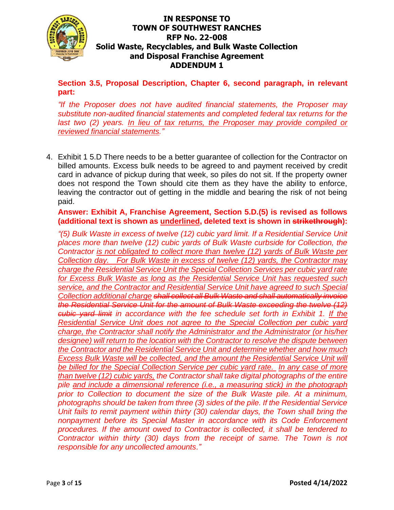

**Section 3.5, Proposal Description, Chapter 6, second paragraph, in relevant part:**

*"If the Proposer does not have audited financial statements, the Proposer may substitute non-audited financial statements and completed federal tax returns for the last two (2) years. In lieu of tax returns, the Proposer may provide compiled or reviewed financial statements."*

4. Exhibit 1 5.D There needs to be a better guarantee of collection for the Contractor on billed amounts. Excess bulk needs to be agreed to and payment received by credit card in advance of pickup during that week, so piles do not sit. If the property owner does not respond the Town should cite them as they have the ability to enforce, leaving the contractor out of getting in the middle and bearing the risk of not being paid.

**Answer: Exhibit A, Franchise Agreement, Section 5.D.(5) is revised as follows (additional text is shown as underlined, deleted text is shown in strikethrough):** 

*"(5) Bulk Waste in excess of twelve (12) cubic yard limit. If a Residential Service Unit places more than twelve (12) cubic yards of Bulk Waste curbside for Collection, the Contractor is not obligated to collect more than twelve (12) yards of Bulk Waste per Collection day. For Bulk Waste in excess of twelve (12) yards, the Contractor may charge the Residential Service Unit the Special Collection Services per cubic yard rate for Excess Bulk Waste as long as the Residential Service Unit has requested such service, and the Contractor and Residential Service Unit have agreed to such Special Collection additional charge shall collect all Bulk Waste and shall automatically invoice the Residential Service Unit for the amount of Bulk Waste exceeding the twelve (12) cubic yard limit in accordance with the fee schedule set forth in Exhibit 1. If the Residential Service Unit does not agree to the Special Collection per cubic yard charge, the Contractor shall notify the Administrator and the Administrator (or his/her designee) will return to the location with the Contractor to resolve the dispute between the Contractor and the Residential Service Unit and determine whether and how much Excess Bulk Waste will be collected, and the amount the Residential Service Unit will be billed for the Special Collection Service per cubic yard rate. In any case of more than twelve (12) cubic yards, the Contractor shall take digital photographs of the entire pile and include a dimensional reference (i.e., a measuring stick) in the photograph prior to Collection to document the size of the Bulk Waste pile. At a minimum, photographs should be taken from three (3) sides of the pile. If the Residential Service Unit fails to remit payment within thirty (30) calendar days, the Town shall bring the nonpayment before its Special Master in accordance with its Code Enforcement procedures. If the amount owed to Contractor is collected, it shall be tendered to Contractor within thirty (30) days from the receipt of same. The Town is not responsible for any uncollected amounts."*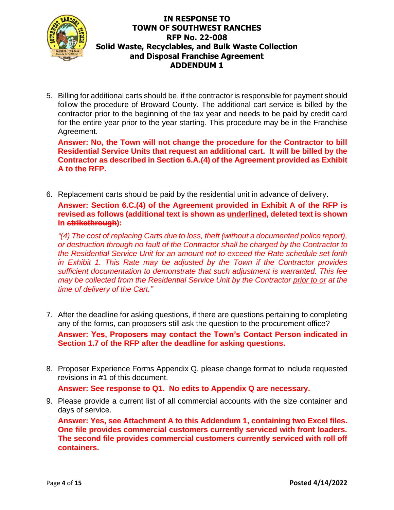

5. Billing for additional carts should be, if the contractor is responsible for payment should follow the procedure of Broward County. The additional cart service is billed by the contractor prior to the beginning of the tax year and needs to be paid by credit card for the entire year prior to the year starting. This procedure may be in the Franchise Agreement.

**Answer: No, the Town will not change the procedure for the Contractor to bill Residential Service Units that request an additional cart. It will be billed by the Contractor as described in Section 6.A.(4) of the Agreement provided as Exhibit A to the RFP.**

6. Replacement carts should be paid by the residential unit in advance of delivery.

**Answer: Section 6.C.(4) of the Agreement provided in Exhibit A of the RFP is revised as follows (additional text is shown as underlined, deleted text is shown in strikethrough):**

*"(4) The cost of replacing Carts due to loss, theft (without a documented police report), or destruction through no fault of the Contractor shall be charged by the Contractor to the Residential Service Unit for an amount not to exceed the Rate schedule set forth in Exhibit 1. This Rate may be adjusted by the Town if the Contractor provides sufficient documentation to demonstrate that such adjustment is warranted. This fee may be collected from the Residential Service Unit by the Contractor prior to or at the time of delivery of the Cart."*

7. After the deadline for asking questions, if there are questions pertaining to completing any of the forms, can proposers still ask the question to the procurement office?

**Answer: Yes, Proposers may contact the Town's Contact Person indicated in Section 1.7 of the RFP after the deadline for asking questions.** 

8. Proposer Experience Forms Appendix Q, please change format to include requested revisions in #1 of this document.

**Answer: See response to Q1. No edits to Appendix Q are necessary.** 

9. Please provide a current list of all commercial accounts with the size container and days of service.

**Answer: Yes, see Attachment A to this Addendum 1, containing two Excel files. One file provides commercial customers currently serviced with front loaders. The second file provides commercial customers currently serviced with roll off containers.**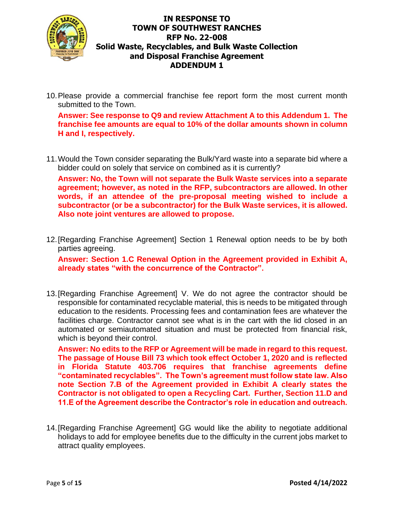

10.Please provide a commercial franchise fee report form the most current month submitted to the Town.

**Answer: See response to Q9 and review Attachment A to this Addendum 1. The franchise fee amounts are equal to 10% of the dollar amounts shown in column H and I, respectively.** 

11.Would the Town consider separating the Bulk/Yard waste into a separate bid where a bidder could on solely that service on combined as it is currently?

**Answer: No, the Town will not separate the Bulk Waste services into a separate agreement; however, as noted in the RFP, subcontractors are allowed. In other words, if an attendee of the pre-proposal meeting wished to include a subcontractor (or be a subcontractor) for the Bulk Waste services, it is allowed. Also note joint ventures are allowed to propose.** 

12.[Regarding Franchise Agreement] Section 1 Renewal option needs to be by both parties agreeing.

**Answer: Section 1.C Renewal Option in the Agreement provided in Exhibit A, already states "with the concurrence of the Contractor".** 

13.[Regarding Franchise Agreement] V. We do not agree the contractor should be responsible for contaminated recyclable material, this is needs to be mitigated through education to the residents. Processing fees and contamination fees are whatever the facilities charge. Contractor cannot see what is in the cart with the lid closed in an automated or semiautomated situation and must be protected from financial risk, which is beyond their control.

**Answer: No edits to the RFP or Agreement will be made in regard to this request. The passage of House Bill 73 which took effect October 1, 2020 and is reflected in Florida Statute 403.706 requires that franchise agreements define "contaminated recyclables". The Town's agreement must follow state law. Also note Section 7.B of the Agreement provided in Exhibit A clearly states the Contractor is not obligated to open a Recycling Cart. Further, Section 11.D and 11.E of the Agreement describe the Contractor's role in education and outreach.** 

14.[Regarding Franchise Agreement] GG would like the ability to negotiate additional holidays to add for employee benefits due to the difficulty in the current jobs market to attract quality employees.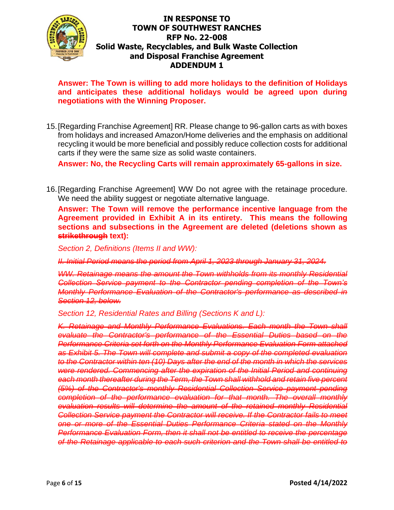

**Answer: The Town is willing to add more holidays to the definition of Holidays and anticipates these additional holidays would be agreed upon during negotiations with the Winning Proposer.** 

15.[Regarding Franchise Agreement] RR. Please change to 96-gallon carts as with boxes from holidays and increased Amazon/Home deliveries and the emphasis on additional recycling it would be more beneficial and possibly reduce collection costs for additional carts if they were the same size as solid waste containers.

**Answer: No, the Recycling Carts will remain approximately 65-gallons in size.** 

16.[Regarding Franchise Agreement] WW Do not agree with the retainage procedure. We need the ability suggest or negotiate alternative language.

**Answer: The Town will remove the performance incentive language from the Agreement provided in Exhibit A in its entirety. This means the following sections and subsections in the Agreement are deleted (deletions shown as strikethrough text):** 

*Section 2, Definitions (Items II and WW):* 

*II. Initial Period means the period from April 1, 2023 through January 31, 2024.*

*WW. Retainage means the amount the Town withholds from its monthly Residential Collection Service payment to the Contractor pending completion of the Town's Monthly Performance Evaluation of the Contractor's performance as described in Section 12, below.*

*Section 12, Residential Rates and Billing (Sections K and L):*

*K. Retainage and Monthly Performance Evaluations. Each month the Town shall evaluate the Contractor's performance of the Essential Duties based on the Performance Criteria set forth on the Monthly Performance Evaluation Form attached as Exhibit 5. The Town will complete and submit a copy of the completed evaluation to the Contractor within ten (10) Days after the end of the month in which the services were rendered. Commencing after the expiration of the Initial Period and continuing each month thereafter during the Term, the Town shall withhold and retain five percent (5%) of the Contractor's monthly Residential Collection Service payment pending completion of the performance evaluation for that month. The overall monthly evaluation results will determine the amount of the retained monthly Residential*  **Collection Service payment the Contractor will receive. If the Contractor fails to meet** *one or more of the Essential Duties Performance Criteria stated on the Monthly Performance Evaluation Form, then it shall not be entitled to receive the percentage of the Retainage applicable to each such criterion and the Town shall be entitled to*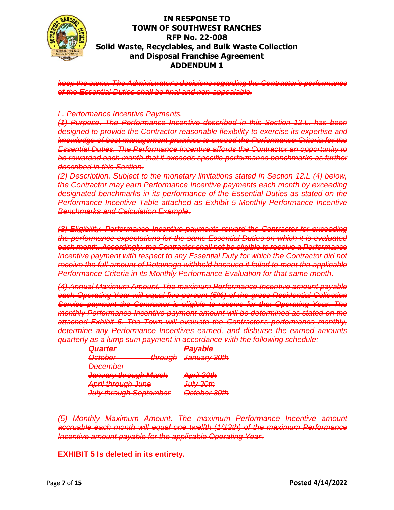

*keep the same. The Administrator's decisions regarding the Contractor's performance of the Essential Duties shall be final and non-appealable.*

#### *L. Performance Incentive Payments.*

*(1) Purpose. The Performance Incentive described in this Section 12.L. has been designed to provide the Contractor reasonable flexibility to exercise its expertise and knowledge of best management practices to exceed the Performance Criteria for the Essential Duties. The Performance Incentive affords the Contractor an opportunity to be rewarded each month that it exceeds specific performance benchmarks as further described in this Section.* 

*(2) Description. Subject to the monetary limitations stated in Section 12.L (4) below, the Contractor may earn Performance Incentive payments each month by exceeding designated benchmarks in its performance of the Essential Duties as stated on the Performance Incentive Table attached as Exhibit 5 Monthly Performance Incentive Benchmarks and Calculation Example.* 

*(3) Eligibility. Performance Incentive payments reward the Contractor for exceeding the performance expectations for the same Essential Duties on which it is evaluated each month. Accordingly, the Contractor shall not be eligible to receive a Performance Incentive payment with respect to any Essential Duty for which the Contractor did not receive the full amount of Retainage withheld because it failed to meet the applicable Performance Criteria in its Monthly Performance Evaluation for that same month.* 

*(4) Annual Maximum Amount. The maximum Performance Incentive amount payable each Operating Year will equal five percent (5%) of the gross Residential Collection Service payment the Contractor is eligible to receive for that Operating Year. The monthly Performance Incentive payment amount will be determined as stated on the attached Exhibit 5. The Town will evaluate the Contractor's performance monthly, determine any Performance Incentives earned, and disburse the earned amounts quarterly as a lump sum payment in accordance with the following schedule:*

| <del>Quarter</del>                                                                | ملطوييوها<br><del>Fayapro</del>                |
|-----------------------------------------------------------------------------------|------------------------------------------------|
| $\bigcap$ ctobor<br>$f_{\text{heat}}$<br><del>ञ्जलसम्ब</del><br><del>unougn</del> | $l$ anyary 20th<br><del>January oom</del>      |
| Docombor<br><del>DUJU MJOJ</del>                                                  |                                                |
| <del>January through March</del>                                                  | $\Delta$ pril $20$ th<br><del>, 101 11 -</del> |
| April through June                                                                | <u>հորչ 30th</u><br><del>oury-</del>           |
| July through Contambor                                                            | )ntohar 90th                                   |

*(5) Monthly Maximum Amount. The maximum Performance Incentive amount accruable each month will equal one twelfth (1/12th) of the maximum Performance Incentive amount payable for the applicable Operating Year.*

**EXHIBIT 5 Is deleted in its entirety.**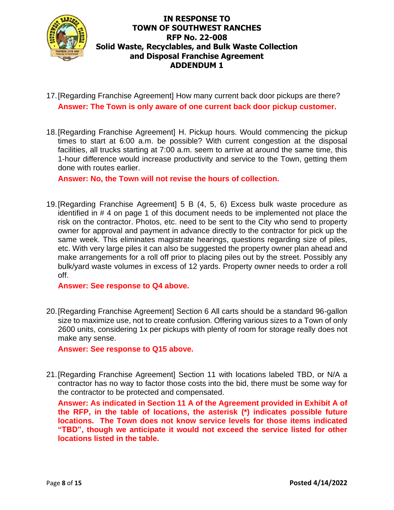

- 17.[Regarding Franchise Agreement] How many current back door pickups are there? **Answer: The Town is only aware of one current back door pickup customer.**
- 18.[Regarding Franchise Agreement] H. Pickup hours. Would commencing the pickup times to start at 6:00 a.m. be possible? With current congestion at the disposal facilities, all trucks starting at 7:00 a.m. seem to arrive at around the same time, this 1-hour difference would increase productivity and service to the Town, getting them done with routes earlier.

**Answer: No, the Town will not revise the hours of collection.** 

19.[Regarding Franchise Agreement] 5 B (4, 5, 6) Excess bulk waste procedure as identified in # 4 on page 1 of this document needs to be implemented not place the risk on the contractor. Photos, etc. need to be sent to the City who send to property owner for approval and payment in advance directly to the contractor for pick up the same week. This eliminates magistrate hearings, questions regarding size of piles, etc. With very large piles it can also be suggested the property owner plan ahead and make arrangements for a roll off prior to placing piles out by the street. Possibly any bulk/yard waste volumes in excess of 12 yards. Property owner needs to order a roll off.

#### **Answer: See response to Q4 above.**

20.[Regarding Franchise Agreement] Section 6 All carts should be a standard 96-gallon size to maximize use, not to create confusion. Offering various sizes to a Town of only 2600 units, considering 1x per pickups with plenty of room for storage really does not make any sense.

**Answer: See response to Q15 above.** 

21.[Regarding Franchise Agreement] Section 11 with locations labeled TBD, or N/A a contractor has no way to factor those costs into the bid, there must be some way for the contractor to be protected and compensated.

**Answer: As indicated in Section 11 A of the Agreement provided in Exhibit A of the RFP, in the table of locations, the asterisk (\*) indicates possible future locations. The Town does not know service levels for those items indicated "TBD", though we anticipate it would not exceed the service listed for other locations listed in the table.**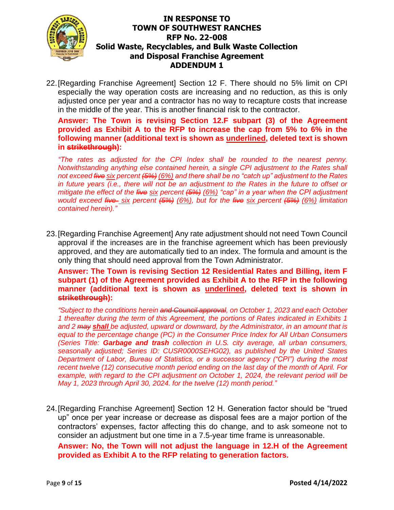

22.[Regarding Franchise Agreement] Section 12 F. There should no 5% limit on CPI especially the way operation costs are increasing and no reduction, as this is only adjusted once per year and a contractor has no way to recapture costs that increase in the middle of the year. This is another financial risk to the contractor.

**Answer: The Town is revising Section 12.F subpart (3) of the Agreement provided as Exhibit A to the RFP to increase the cap from 5% to 6% in the following manner (additional text is shown as underlined, deleted text is shown in strikethrough):**

*"The rates as adjusted for the CPI Index shall be rounded to the nearest penny. Notwithstanding anything else contained herein, a single CPI adjustment to the Rates shall not exceed five six percent (5%) (6%) and there shall be no "catch up" adjustment to the Rates in future years (i.e., there will not be an adjustment to the Rates in the future to offset or mitigate the effect of the five six percent (5%) (6%) "cap" in a year when the CPI adjustment would exceed five six percent (5%) (6%), but for the five six percent (5%) (6%) limitation contained herein)."*

23.[Regarding Franchise Agreement] Any rate adjustment should not need Town Council approval if the increases are in the franchise agreement which has been previously approved, and they are automatically tied to an index. The formula and amount is the only thing that should need approval from the Town Administrator.

**Answer: The Town is revising Section 12 Residential Rates and Billing, item F subpart (1) of the Agreement provided as Exhibit A to the RFP in the following manner (additional text is shown as underlined, deleted text is shown in strikethrough):**

*"Subject to the conditions herein and Council approval, on October 1, 2023 and each October 1 thereafter during the term of this Agreement, the portions of Rates indicated in Exhibits 1 and 2 may shall be adjusted, upward or downward, by the Administrator, in an amount that is equal to the percentage change (PC) in the Consumer Price Index for All Urban Consumers (Series Title: Garbage and trash collection in U.S. city average, all urban consumers, seasonally adjusted; Series ID: CUSR0000SEHG02), as published by the United States Department of Labor, Bureau of Statistics, or a successor agency ("CPI") during the most recent twelve (12) consecutive month period ending on the last day of the month of April. For example, with regard to the CPI adjustment on October 1, 2024, the relevant period will be May 1, 2023 through April 30, 2024. for the twelve (12) month period."*

24.[Regarding Franchise Agreement] Section 12 H. Generation factor should be "trued up" once per year increase or decrease as disposal fees are a major portion of the contractors' expenses, factor affecting this do change, and to ask someone not to consider an adjustment but one time in a 7.5-year time frame is unreasonable.

**Answer: No, the Town will not adjust the language in 12.H of the Agreement provided as Exhibit A to the RFP relating to generation factors.**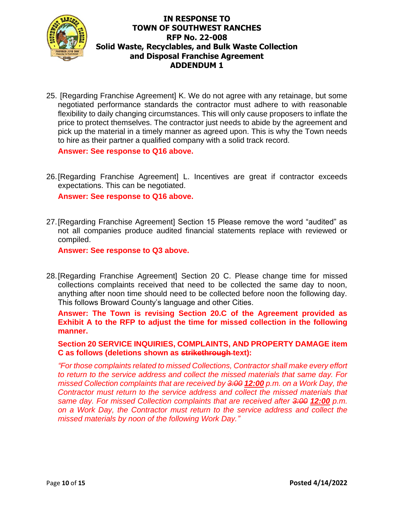

25. [Regarding Franchise Agreement] K. We do not agree with any retainage, but some negotiated performance standards the contractor must adhere to with reasonable flexibility to daily changing circumstances. This will only cause proposers to inflate the price to protect themselves. The contractor just needs to abide by the agreement and pick up the material in a timely manner as agreed upon. This is why the Town needs to hire as their partner a qualified company with a solid track record.

**Answer: See response to Q16 above.** 

26.[Regarding Franchise Agreement] L. Incentives are great if contractor exceeds expectations. This can be negotiated.

**Answer: See response to Q16 above.** 

27.[Regarding Franchise Agreement] Section 15 Please remove the word "audited" as not all companies produce audited financial statements replace with reviewed or compiled.

**Answer: See response to Q3 above.** 

28.[Regarding Franchise Agreement] Section 20 C. Please change time for missed collections complaints received that need to be collected the same day to noon, anything after noon time should need to be collected before noon the following day. This follows Broward County's language and other Cities.

**Answer: The Town is revising Section 20.C of the Agreement provided as Exhibit A to the RFP to adjust the time for missed collection in the following manner.** 

#### **Section 20 SERVICE INQUIRIES, COMPLAINTS, AND PROPERTY DAMAGE item**  C as follows (deletions shown as strikethrough text):

*"For those complaints related to missed Collections, Contractor shall make every effort to return to the service address and collect the missed materials that same day. For missed Collection complaints that are received by <del>3:00</del> 12:00 <i>p.m. on a Work Day, the Contractor must return to the service address and collect the missed materials that same day. For missed Collection complaints that are received after 3:00 12:00 p.m. on a Work Day, the Contractor must return to the service address and collect the missed materials by noon of the following Work Day."*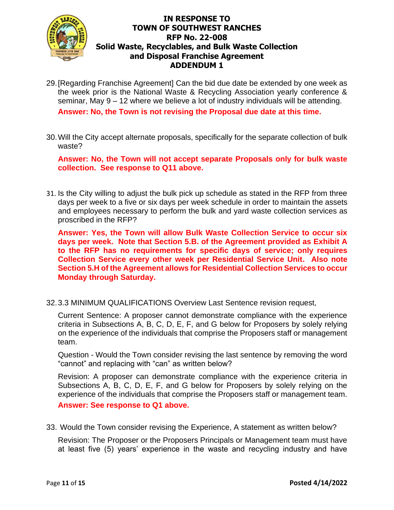

29.[Regarding Franchise Agreement] Can the bid due date be extended by one week as the week prior is the National Waste & Recycling Association yearly conference & seminar, May 9 – 12 where we believe a lot of industry individuals will be attending.

**Answer: No, the Town is not revising the Proposal due date at this time.** 

30.Will the City accept alternate proposals, specifically for the separate collection of bulk waste?

**Answer: No, the Town will not accept separate Proposals only for bulk waste collection. See response to Q11 above.** 

31. Is the City willing to adjust the bulk pick up schedule as stated in the RFP from three days per week to a five or six days per week schedule in order to maintain the assets and employees necessary to perform the bulk and yard waste collection services as proscribed in the RFP?

**Answer: Yes, the Town will allow Bulk Waste Collection Service to occur six days per week. Note that Section 5.B. of the Agreement provided as Exhibit A to the RFP has no requirements for specific days of service; only requires Collection Service every other week per Residential Service Unit. Also note Section 5.H of the Agreement allows for Residential Collection Services to occur Monday through Saturday.** 

32.3.3 MINIMUM QUALIFICATIONS Overview Last Sentence revision request,

Current Sentence: A proposer cannot demonstrate compliance with the experience criteria in Subsections A, B, C, D, E, F, and G below for Proposers by solely relying on the experience of the individuals that comprise the Proposers staff or management team.

Question - Would the Town consider revising the last sentence by removing the word "cannot" and replacing with "can" as written below?

Revision: A proposer can demonstrate compliance with the experience criteria in Subsections A, B, C, D, E, F, and G below for Proposers by solely relying on the experience of the individuals that comprise the Proposers staff or management team. **Answer: See response to Q1 above.** 

33. Would the Town consider revising the Experience, A statement as written below?

Revision: The Proposer or the Proposers Principals or Management team must have at least five (5) years' experience in the waste and recycling industry and have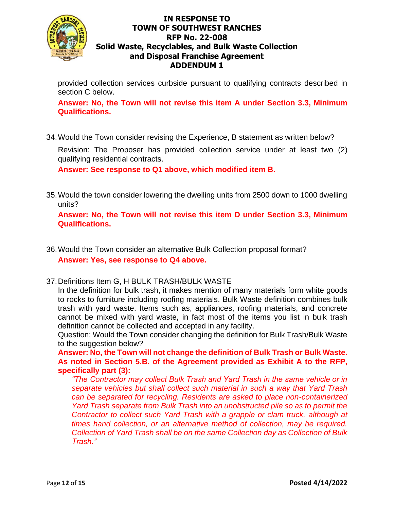

provided collection services curbside pursuant to qualifying contracts described in section C below.

**Answer: No, the Town will not revise this item A under Section 3.3, Minimum Qualifications.** 

34.Would the Town consider revising the Experience, B statement as written below?

Revision: The Proposer has provided collection service under at least two (2) qualifying residential contracts.

**Answer: See response to Q1 above, which modified item B.**

35.Would the town consider lowering the dwelling units from 2500 down to 1000 dwelling units?

**Answer: No, the Town will not revise this item D under Section 3.3, Minimum Qualifications.**

- 36.Would the Town consider an alternative Bulk Collection proposal format? **Answer: Yes, see response to Q4 above.**
- 37.Definitions Item G, H BULK TRASH/BULK WASTE

In the definition for bulk trash, it makes mention of many materials form white goods to rocks to furniture including roofing materials. Bulk Waste definition combines bulk trash with yard waste. Items such as, appliances, roofing materials, and concrete cannot be mixed with yard waste, in fact most of the items you list in bulk trash definition cannot be collected and accepted in any facility.

Question: Would the Town consider changing the definition for Bulk Trash/Bulk Waste to the suggestion below?

**Answer: No, the Town will not change the definition of Bulk Trash or Bulk Waste. As noted in Section 5.B. of the Agreement provided as Exhibit A to the RFP, specifically part (3):**

*"The Contractor may collect Bulk Trash and Yard Trash in the same vehicle or in separate vehicles but shall collect such material in such a way that Yard Trash can be separated for recycling. Residents are asked to place non-containerized Yard Trash separate from Bulk Trash into an unobstructed pile so as to permit the Contractor to collect such Yard Trash with a grapple or clam truck, although at times hand collection, or an alternative method of collection, may be required. Collection of Yard Trash shall be on the same Collection day as Collection of Bulk Trash."*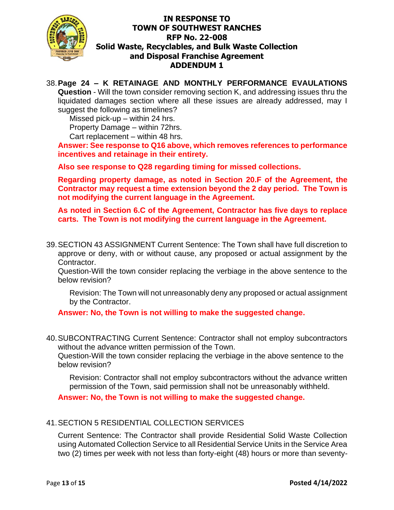

## 38.**Page 24 – K RETAINAGE AND MONTHLY PERFORMANCE EVAULATIONS**

**Question** - Will the town consider removing section K, and addressing issues thru the liquidated damages section where all these issues are already addressed, may I suggest the following as timelines?

Missed pick-up – within 24 hrs.

Property Damage – within 72hrs.

Cart replacement – within 48 hrs.

**Answer: See response to Q16 above, which removes references to performance incentives and retainage in their entirety.** 

**Also see response to Q28 regarding timing for missed collections.** 

**Regarding property damage, as noted in Section 20.F of the Agreement, the Contractor may request a time extension beyond the 2 day period. The Town is not modifying the current language in the Agreement.**

**As noted in Section 6.C of the Agreement, Contractor has five days to replace carts. The Town is not modifying the current language in the Agreement.** 

39.SECTION 43 ASSIGNMENT Current Sentence: The Town shall have full discretion to approve or deny, with or without cause, any proposed or actual assignment by the Contractor.

Question-Will the town consider replacing the verbiage in the above sentence to the below revision?

Revision: The Town will not unreasonably deny any proposed or actual assignment by the Contractor.

**Answer: No, the Town is not willing to make the suggested change.** 

40.SUBCONTRACTING Current Sentence: Contractor shall not employ subcontractors without the advance written permission of the Town.

Question-Will the town consider replacing the verbiage in the above sentence to the below revision?

Revision: Contractor shall not employ subcontractors without the advance written permission of the Town, said permission shall not be unreasonably withheld.

**Answer: No, the Town is not willing to make the suggested change.**

## 41.SECTION 5 RESIDENTIAL COLLECTION SERVICES

Current Sentence: The Contractor shall provide Residential Solid Waste Collection using Automated Collection Service to all Residential Service Units in the Service Area two (2) times per week with not less than forty-eight (48) hours or more than seventy-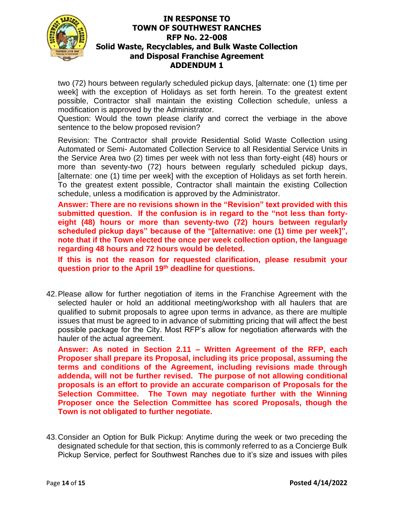

two (72) hours between regularly scheduled pickup days, [alternate: one (1) time per week] with the exception of Holidays as set forth herein. To the greatest extent possible, Contractor shall maintain the existing Collection schedule, unless a modification is approved by the Administrator.

Question: Would the town please clarify and correct the verbiage in the above sentence to the below proposed revision?

Revision: The Contractor shall provide Residential Solid Waste Collection using Automated or Semi- Automated Collection Service to all Residential Service Units in the Service Area two (2) times per week with not less than forty-eight (48) hours or more than seventy-two (72) hours between regularly scheduled pickup days, [alternate: one (1) time per week] with the exception of Holidays as set forth herein. To the greatest extent possible, Contractor shall maintain the existing Collection schedule, unless a modification is approved by the Administrator.

**Answer: There are no revisions shown in the "Revision" text provided with this submitted question. If the confusion is in regard to the "not less than fortyeight (48) hours or more than seventy-two (72) hours between regularly scheduled pickup days" because of the "[alternative: one (1) time per week]", note that if the Town elected the once per week collection option, the language regarding 48 hours and 72 hours would be deleted.** 

**If this is not the reason for requested clarification, please resubmit your question prior to the April 19 th deadline for questions.** 

42.Please allow for further negotiation of items in the Franchise Agreement with the selected hauler or hold an additional meeting/workshop with all haulers that are qualified to submit proposals to agree upon terms in advance, as there are multiple issues that must be agreed to in advance of submitting pricing that will affect the best possible package for the City. Most RFP's allow for negotiation afterwards with the hauler of the actual agreement.

**Answer: As noted in Section 2.11 – Written Agreement of the RFP, each Proposer shall prepare its Proposal, including its price proposal, assuming the terms and conditions of the Agreement, including revisions made through addenda, will not be further revised. The purpose of not allowing conditional proposals is an effort to provide an accurate comparison of Proposals for the Selection Committee. The Town may negotiate further with the Winning Proposer once the Selection Committee has scored Proposals, though the Town is not obligated to further negotiate.** 

43.Consider an Option for Bulk Pickup: Anytime during the week or two preceding the designated schedule for that section, this is commonly referred to as a Concierge Bulk Pickup Service, perfect for Southwest Ranches due to it's size and issues with piles